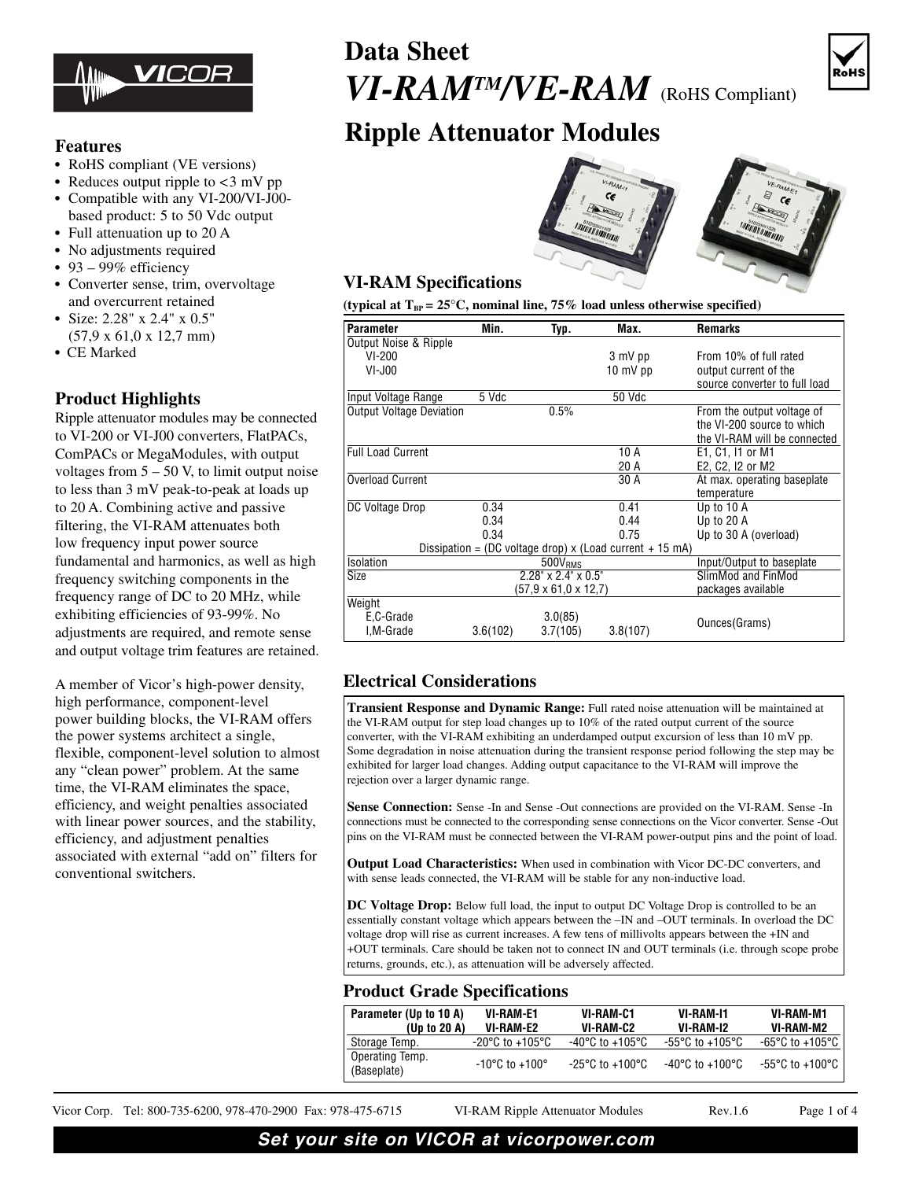

#### **Features**

- RoHS compliant (VE versions)
- Reduces output ripple to <3 mV pp
- **•** Compatible with any VI-200/VI-J00 based product: 5 to 50 Vdc output
- **•** Full attenuation up to 20 A
- **•** No adjustments required
- **•** 93 99% efficiency
- **•** Converter sense, trim, overvoltage and overcurrent retained
- **•** Size: 2.28" x 2.4" x 0.5" (57,9 x 61,0 x 12,7 mm)
- **•** CE Marked

### **Product Highlights**

Ripple attenuator modules may be connected to VI-200 or VI-J00 converters, FlatPACs, ComPACs or MegaModules, with output voltages from  $5 - 50$  V, to limit output noise to less than 3 mV peak-to-peak at loads up to 20 A. Combining active and passive filtering, the VI-RAM attenuates both low frequency input power source fundamental and harmonics, as well as high frequency switching components in the frequency range of DC to 20 MHz, while exhibiting efficiencies of 93-99%. No adjustments are required, and remote sense and output voltage trim features are retained.

A member of Vicor's high-power density, high performance, component-level power building blocks, the VI-RAM offers the power systems architect a single, flexible, component-level solution to almost any "clean power" problem. At the same time, the VI-RAM eliminates the space, efficiency, and weight penalties associated with linear power sources, and the stability. efficiency, and adjustment penalties associated with external "add on" filters for conventional switchers.

# **Data Sheet** *VI-RAMTM/VE-RAM* (RoHS Compliant)



## **Ripple Attenuator Modules**



#### **VI-RAM Specifications**

(typical at  $T_{BP} = 25^{\circ}C$ , nominal line, 75% load unless otherwise specified)

| <b>Parameter</b>                                           | Min.                            | Typ.                                        | Max.                       | <b>Remarks</b>                |  |  |  |
|------------------------------------------------------------|---------------------------------|---------------------------------------------|----------------------------|-------------------------------|--|--|--|
| Output Noise & Ripple                                      |                                 |                                             |                            |                               |  |  |  |
| $VI-200$                                                   | 3 mV pp                         |                                             |                            | From 10% of full rated        |  |  |  |
| $VI-J00$                                                   |                                 | $10 \text{ mV pp}$<br>output current of the |                            |                               |  |  |  |
|                                                            |                                 |                                             |                            | source converter to full load |  |  |  |
| Input Voltage Range                                        | 5 Vdc                           |                                             | 50 Vdc                     |                               |  |  |  |
| <b>Output Voltage Deviation</b>                            | 0.5%                            |                                             | From the output voltage of |                               |  |  |  |
|                                                            |                                 |                                             |                            | the VI-200 source to which    |  |  |  |
|                                                            |                                 |                                             |                            | the VI-RAM will be connected  |  |  |  |
| <b>Full Load Current</b>                                   |                                 |                                             | 10 A                       | E1, C1, I1 or M1              |  |  |  |
|                                                            |                                 |                                             | 20 A                       | E2, C2, I2 or M2              |  |  |  |
| <b>Overload Current</b>                                    |                                 |                                             | 30 A                       | At max. operating baseplate   |  |  |  |
|                                                            |                                 |                                             |                            | temperature                   |  |  |  |
| DC Voltage Drop                                            | 0.34                            |                                             | 0.41                       | Up to 10 A                    |  |  |  |
|                                                            | 0.34                            |                                             | 0.44<br>Up to 20 A         |                               |  |  |  |
|                                                            | 0.34                            |                                             | 0.75                       | Up to 30 A (overload)         |  |  |  |
| Dissipation = (DC voltage drop) $x$ (Load current + 15 mA) |                                 |                                             |                            |                               |  |  |  |
| Isolation                                                  | 500V <sub>RMS</sub>             |                                             |                            | Input/Output to baseplate     |  |  |  |
| <b>Size</b>                                                | $2.28" \times 2.4" \times 0.5"$ |                                             |                            | SlimMod and FinMod            |  |  |  |
|                                                            | (57.9 x 61.0 x 12.7)            |                                             |                            | packages available            |  |  |  |
| Weight                                                     |                                 |                                             |                            |                               |  |  |  |
| E.C-Grade                                                  |                                 | 3.0(85)                                     |                            | Ounces (Grams)                |  |  |  |
| I,M-Grade                                                  | 3.6(102)                        | 3.7(105)                                    | 3.8(107)                   |                               |  |  |  |

### **Electrical Considerations**

**Transient Response and Dynamic Range:** Full rated noise attenuation will be maintained at the VI-RAM output for step load changes up to 10% of the rated output current of the source converter, with the VI-RAM exhibiting an underdamped output excursion of less than 10 mV pp. Some degradation in noise attenuation during the transient response period following the step may be exhibited for larger load changes. Adding output capacitance to the VI-RAM will improve the rejection over a larger dynamic range.

**Sense Connection:** Sense -In and Sense -Out connections are provided on the VI-RAM. Sense -In connections must be connected to the corresponding sense connections on the Vicor converter. Sense -Out pins on the VI-RAM must be connected between the VI-RAM power-output pins and the point of load.

**Output Load Characteristics:** When used in combination with Vicor DC-DC converters, and with sense leads connected, the VI-RAM will be stable for any non-inductive load.

**DC Voltage Drop:** Below full load, the input to output DC Voltage Drop is controlled to be an essentially constant voltage which appears between the –IN and –OUT terminals. In overload the DC voltage drop will rise as current increases. A few tens of millivolts appears between the +IN and +OUT terminals. Care should be taken not to connect IN and OUT terminals (i.e. through scope probe returns, grounds, etc.), as attenuation will be adversely affected.

#### **Product Grade Specifications**

| Parameter (Up to 10 A)         | <b>VI-RAM-E1</b> | VI-RAM-C1                           | <b>VI-RAM-11</b>                    | VI-RAM-M1                           |
|--------------------------------|------------------|-------------------------------------|-------------------------------------|-------------------------------------|
| (Up to 20 A)                   | VI-RAM-E2        | VI-RAM-C2                           | VI-RAM-12                           | VI-RAM-M2                           |
| Storage Temp.                  | -20°C to +105°C  | -40°C to +105°C                     | $-55^{\circ}$ C to $+105^{\circ}$ C | $-65^{\circ}$ C to $+105^{\circ}$ C |
| Operating Temp.<br>(Baseplate) | -10°C to +100°   | $-25^{\circ}$ C to $+100^{\circ}$ C | -40°C to +100°C                     | -55°C to +100°C                     |

Vicor Corp. Tel: 800-735-6200, 978-470-2900 Fax: 978-475-6715 VI-RAM Ripple Attenuator Modules Rev.1.6 Page 1 of 4

## **Set your site on VICOR at vicorpower.com**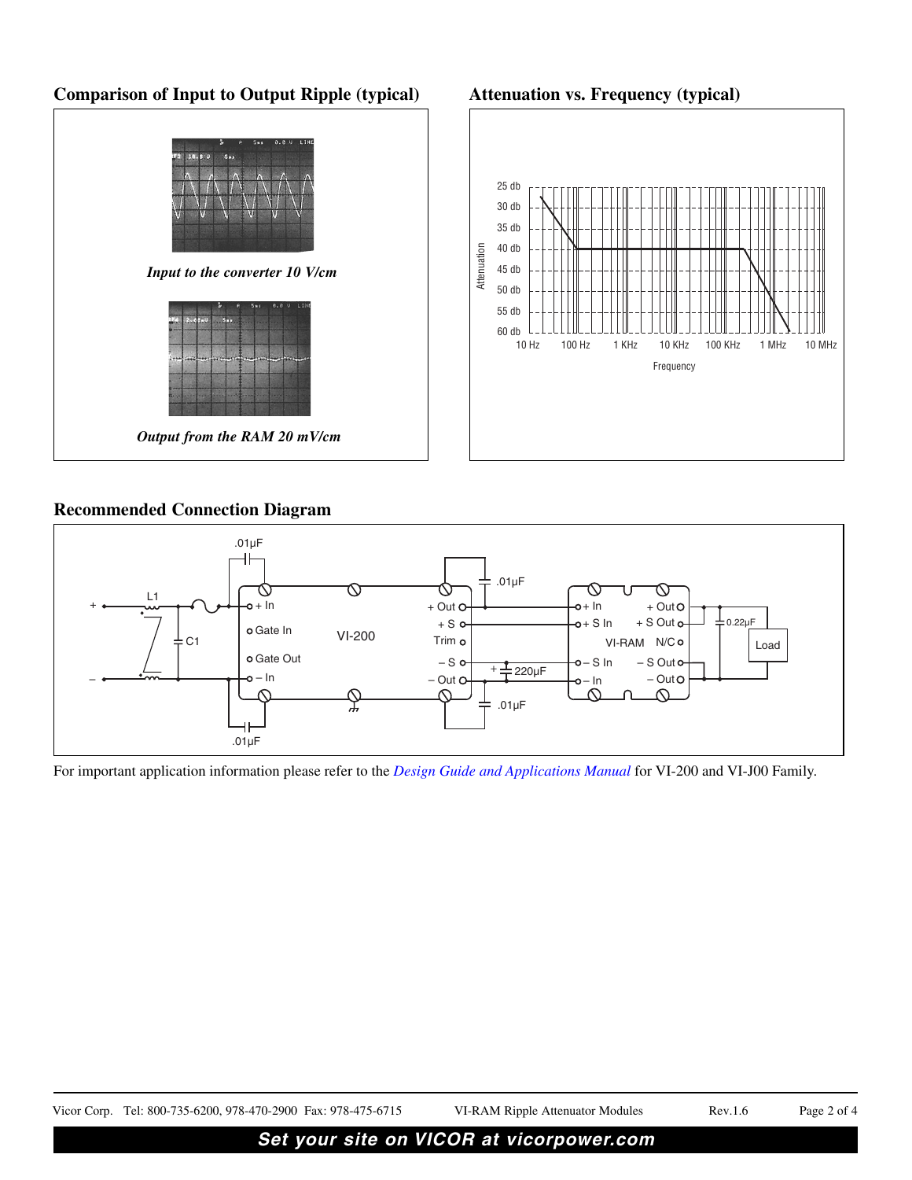## **Comparison of Input to Output Ripple (typical)**

#### **Attenuation vs. Frequency (typical)**





#### **Recommended Connection Diagram**



For important application information please refer to the *[Design Guide and Applications Manual](http://cdn.vicorpower.com/documents/applications_manual/200VIJ00_Sect_15.pdf)* for VI-200 and VI-J00 Family.

Vicor Corp. Tel: 800-735-6200, 978-470-2900 Fax: 978-475-6715 VI-RAM Ripple Attenuator Modules Rev.1.6 Page 2 of 4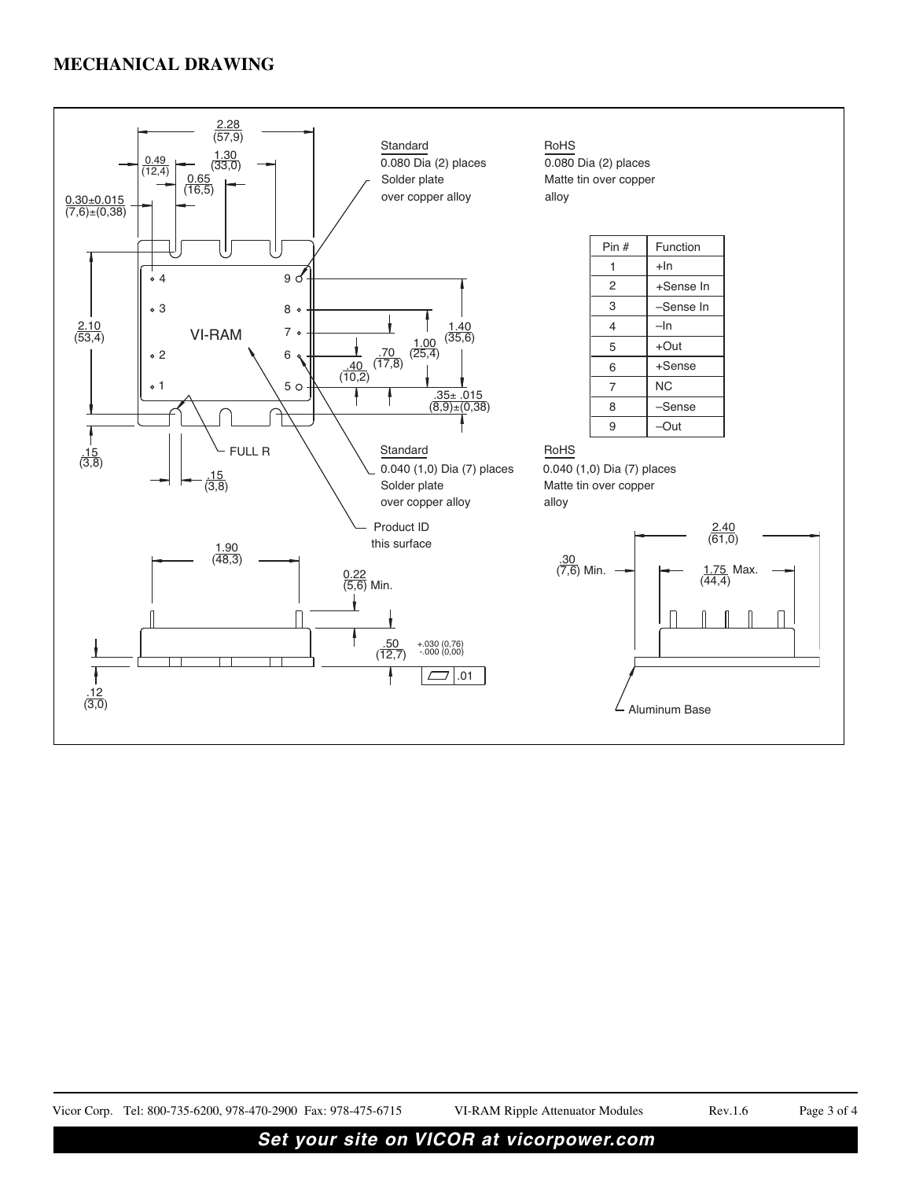

## **Set your site on VICOR at vicorpower.com**